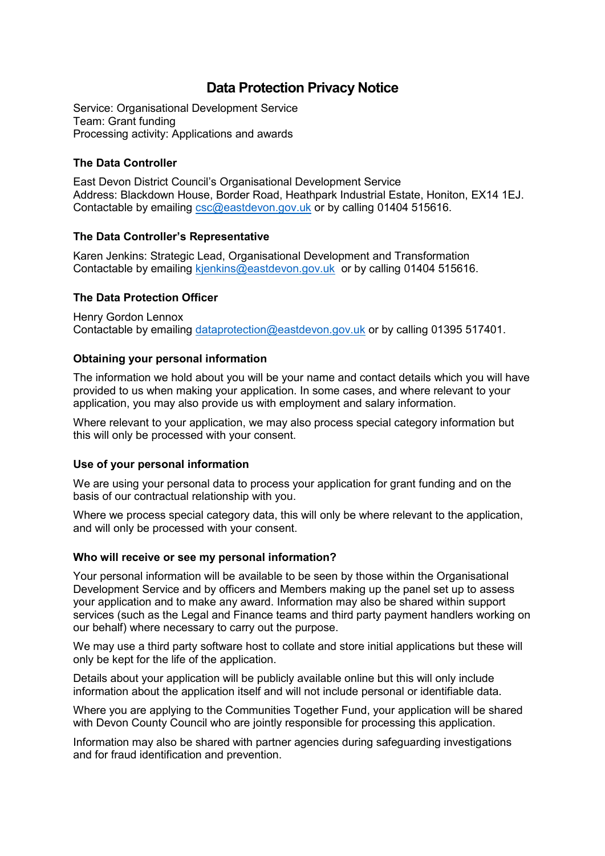# **Data Protection Privacy Notice**

Service: Organisational Development Service Team: Grant funding Processing activity: Applications and awards

# **The Data Controller**

East Devon District Council's Organisational Development Service Address: Blackdown House, Border Road, Heathpark Industrial Estate, Honiton, EX14 1EJ. Contactable by emailing [csc@eastdevon.gov.uk](mailto:csc@eastdevon.gov.uk) or by calling 01404 515616.

# **The Data Controller's Representative**

Karen Jenkins: Strategic Lead, Organisational Development and Transformation Contactable by emailing [kjenkins@eastdevon.gov.uk](mailto:kjenkins@eastdevon.gov.uk) or by calling 01404 515616.

# **The Data Protection Officer**

Henry Gordon Lennox Contactable by emailing [dataprotection@eastdevon.gov.uk](mailto:dataprotection@eastdevon.gov.uk) or by calling 01395 517401.

# **Obtaining your personal information**

The information we hold about you will be your name and contact details which you will have provided to us when making your application. In some cases, and where relevant to your application, you may also provide us with employment and salary information.

Where relevant to your application, we may also process special category information but this will only be processed with your consent.

## **Use of your personal information**

We are using your personal data to process your application for grant funding and on the basis of our contractual relationship with you.

Where we process special category data, this will only be where relevant to the application, and will only be processed with your consent.

## **Who will receive or see my personal information?**

Your personal information will be available to be seen by those within the Organisational Development Service and by officers and Members making up the panel set up to assess your application and to make any award. Information may also be shared within support services (such as the Legal and Finance teams and third party payment handlers working on our behalf) where necessary to carry out the purpose.

We may use a third party software host to collate and store initial applications but these will only be kept for the life of the application.

Details about your application will be publicly available online but this will only include information about the application itself and will not include personal or identifiable data.

Where you are applying to the Communities Together Fund, your application will be shared with Devon County Council who are jointly responsible for processing this application.

Information may also be shared with partner agencies during safeguarding investigations and for fraud identification and prevention.